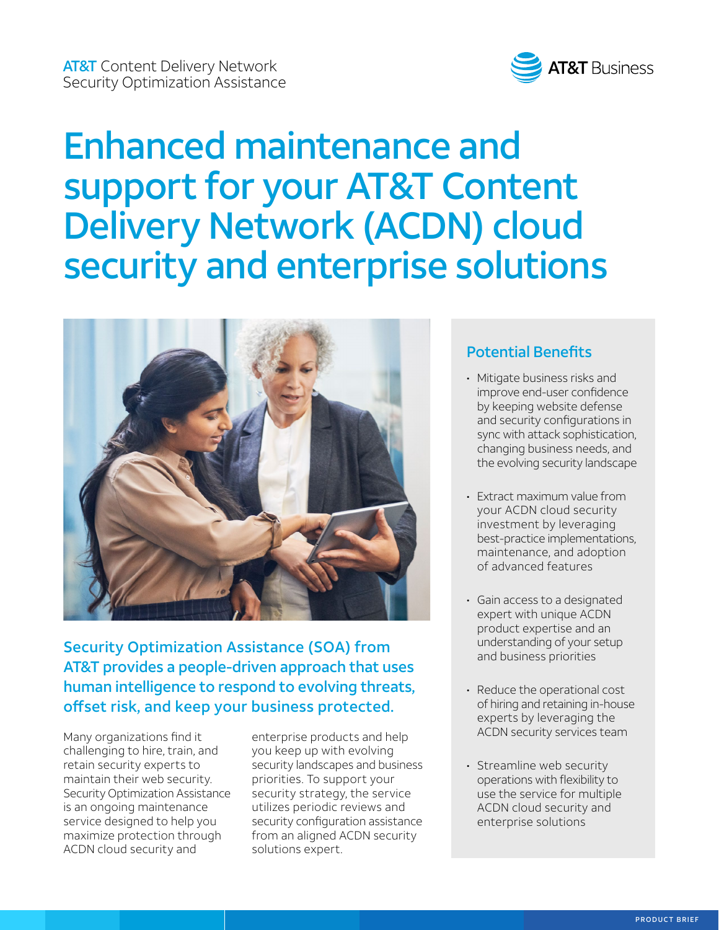

# Enhanced maintenance and support for your AT&T Content Delivery Network (ACDN) cloud security and enterprise solutions



Security Optimization Assistance (SOA) from AT&T provides a people-driven approach that uses human intelligence to respond to evolving threats, offset risk, and keep your business protected.

Many organizations find it challenging to hire, train, and retain security experts to maintain their web security. Security Optimization Assistance is an ongoing maintenance service designed to help you maximize protection through ACDN cloud security and

enterprise products and help you keep up with evolving security landscapes and business priorities. To support your security strategy, the service utilizes periodic reviews and security configuration assistance from an aligned ACDN security solutions expert.

#### Potential Benefits

- Mitigate business risks and improve end-user confidence by keeping website defense and security configurations in sync with attack sophistication, changing business needs, and the evolving security landscape
- Extract maximum value from your ACDN cloud security investment by leveraging best-practice implementations, maintenance, and adoption of advanced features
- Gain access to a designated expert with unique ACDN product expertise and an understanding of your setup and business priorities
- Reduce the operational cost of hiring and retaining in-house experts by leveraging the ACDN security services team
- Streamline web security operations with flexibility to use the service for multiple ACDN cloud security and enterprise solutions